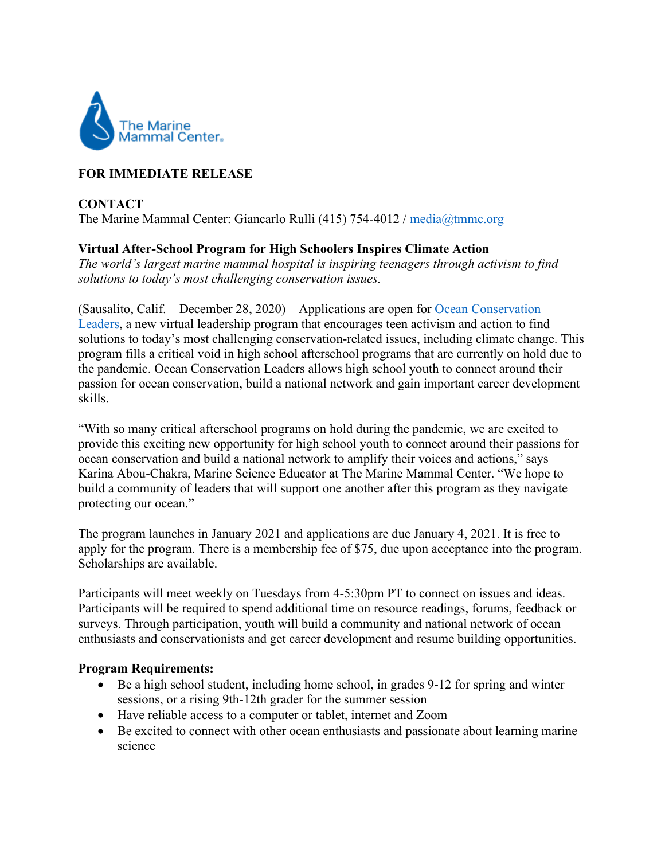

# **FOR IMMEDIATE RELEASE**

### **CONTACT**  The Marine Mammal Center: Giancarlo Rulli (415) 754-4012 / [media@tmmc.org](mailto:media@tmmc.org)

## **Virtual After-School Program for High Schoolers Inspires Climate Action**

*The world's largest marine mammal hospital is inspiring teenagers through activism to find solutions to today's most challenging conservation issues.* 

(Sausalito, Calif. – December 28, 2020) – Applications are open for [Ocean Conservation](https://www.marinemammalcenter.org/education/adults-families/ocean-conservation-leaders)  [Leaders,](https://www.marinemammalcenter.org/education/adults-families/ocean-conservation-leaders) a new virtual leadership program that encourages teen activism and action to find solutions to today's most challenging conservation-related issues, including climate change. This program fills a critical void in high school afterschool programs that are currently on hold due to the pandemic. Ocean Conservation Leaders allows high school youth to connect around their passion for ocean conservation, build a national network and gain important career development skills.

"With so many critical afterschool programs on hold during the pandemic, we are excited to provide this exciting new opportunity for high school youth to connect around their passions for ocean conservation and build a national network to amplify their voices and actions," says Karina Abou-Chakra, Marine Science Educator at The Marine Mammal Center. "We hope to build a community of leaders that will support one another after this program as they navigate protecting our ocean."

The program launches in January 2021 and applications are due January 4, 2021. It is free to apply for the program. There is a membership fee of \$75, due upon acceptance into the program. Scholarships are available.

Participants will meet weekly on Tuesdays from 4-5:30pm PT to connect on issues and ideas. Participants will be required to spend additional time on resource readings, forums, feedback or surveys. Through participation, youth will build a community and national network of ocean enthusiasts and conservationists and get career development and resume building opportunities.

### **Program Requirements:**

- Be a high school student, including home school, in grades 9-12 for spring and winter sessions, or a rising 9th-12th grader for the summer session
- Have reliable access to a computer or tablet, internet and Zoom
- Be excited to connect with other ocean enthusiasts and passionate about learning marine science